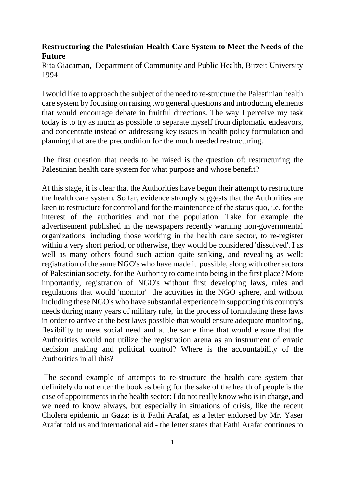## **Restructuring the Palestinian Health Care System to Meet the Needs of the Future**

Rita Giacaman, Department of Community and Public Health, Birzeit University 1994

I would like to approach the subject of the need to re-structure the Palestinian health care system by focusing on raising two general questions and introducing elements that would encourage debate in fruitful directions. The way I perceive my task today is to try as much as possible to separate myself from diplomatic endeavors, and concentrate instead on addressing key issues in health policy formulation and planning that are the precondition for the much needed restructuring.

The first question that needs to be raised is the question of: restructuring the Palestinian health care system for what purpose and whose benefit?

At this stage, it is clear that the Authorities have begun their attempt to restructure the health care system. So far, evidence strongly suggests that the Authorities are keen to restructure for control and for the maintenance of the status quo, i.e. for the interest of the authorities and not the population. Take for example the advertisement published in the newspapers recently warning non-governmental organizations, including those working in the health care sector, to re-register within a very short period, or otherwise, they would be considered 'dissolved'. I as well as many others found such action quite striking, and revealing as well: registration of the same NGO's who have made it possible, along with other sectors of Palestinian society, for the Authority to come into being in the first place? More importantly, registration of NGO's without first developing laws, rules and regulations that would 'monitor' the activities in the NGO sphere, and without including these NGO's who have substantial experience in supporting this country's needs during many years of military rule, in the process of formulating these laws in order to arrive at the best laws possible that would ensure adequate monitoring, flexibility to meet social need and at the same time that would ensure that the Authorities would not utilize the registration arena as an instrument of erratic decision making and political control? Where is the accountability of the Authorities in all this?

The second example of attempts to re-structure the health care system that definitely do not enter the book as being for the sake of the health of people is the case of appointments in the health sector: I do not really know who is in charge, and we need to know always, but especially in situations of crisis, like the recent Cholera epidemic in Gaza: is it Fathi Arafat, as a letter endorsed by Mr. Yaser Arafat told us and international aid - the letter states that Fathi Arafat continues to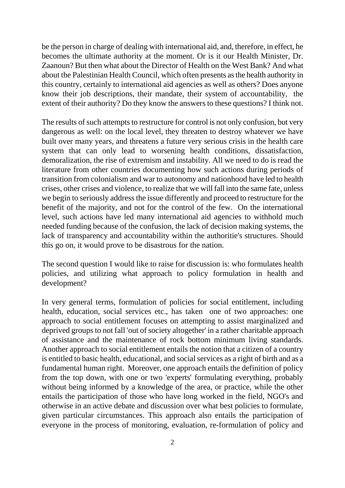be the person in charge of dealing with international aid, and, therefore, in effect, he becomes the ultimate authority at the moment. Or is it our Health Minister, Dr. Zaanoun? But then what about the Director of Health on the West Bank? And what about the Palestinian Health Council, which often presents as the health authority in this country, certainly to international aid agencies as well as others? Does anyone know their job descriptions, their mandate, their system of accountability, the extent of their authority? Do they know the answers to these questions? I think not.

The results of such attempts to restructure for control is not only confusion, but very dangerous as well: on the local level, they threaten to destroy whatever we have built over many years, and threatens a future very serious crisis in the health care system that can only lead to worsening health conditions, dissatisfaction, demoralization, the rise of extremism and instability. All we need to do is read the literature from other countries documenting how such actions during periods of transition from colonialism and war to autonomy and nationhood have led to health crises, other crises and violence, to realize that we will fall into the same fate, unless we begin to seriously address the issue differently and proceed to restructure for the benefit of the majority, and not for the control of the few. On the international level, such actions have led many international aid agencies to withhold much needed funding because of the confusion, the lack of decision making systems, the lack of transparency and accountability within the authoritie's structures. Should this go on, it would prove to be disastrous for the nation.

The second question I would like to raise for discussion is: who formulates health policies, and utilizing what approach to policy formulation in health and development?

In very general terms, formulation of policies for social entitlement, including health, education, social services etc., has taken one of two approaches: one approach to social entitlement focuses on attempting to assist marginalized and deprived groups to not fall 'out of society altogether' in a rather charitable approach of assistance and the maintenance of rock bottom minimum living standards. Another approach to social entitlement entails the notion that a citizen of a country is entitled to basic health, educational, and social services as a right of birth and as a fundamental human right. Moreover, one approach entails the definition of policy from the top down, with one or two 'experts' formulating everything, probably without being informed by a knowledge of the area, or practice, while the other entails the participation of those who have long worked in the field, NGO's and otherwise in an active debate and discussion over what best policies to formulate, given particular circumstances. This approach also entails the participation of everyone in the process of monitoring, evaluation, re-formulation of policy and